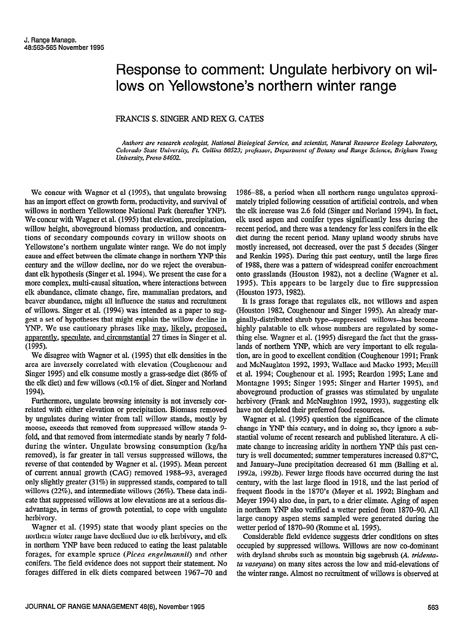## Response to comment: Ungulate herbivory on willows on Yellowstone's northern winter range

## FRANCIS S. SINGER AND REX G. CATES

Authors are research ecologist, National Biological Service, and scientist, Natural Resource Ecology Laboratory, Colorado State University, Ft. Collins 80523; professor, Department of Botany and Range Science, Brigham Young University, Provo 84602.

We concur with Wagner et al (1995), that ungulate browsing has an import effect on growth form, productivity, and survival of willows in northern Yellowstone National Park (hereafter YNP). We concur with Wagner et al. (1995) that elevation, precipitation, willow height, aboveground biomass production, and concentrations of secondary compounds covary in willow shoots on Yellowstone's northern ungulate winter range. We do not imply cause and effect between the climate change in northern YNP this century and the willow decline, nor do we reject the overabundant elk hypothesis (Singer et al. 1994). We present the case for a more complex, multi-causal situation, where interactions between elk abundance, climate change, fire, mammalian predators, and beaver abundance, might all influence the status and recruitment of willows. Singer et al. (1994) was intended as a paper to suggest a set of hypotheses that might explain the willow decline in YNP. We use cautionary phrases like may, likely, proposed, apparently, speculate, and circumstantial 27 times in Singer et al. (1995).

We disagree with Wagner et al. (1995) that elk densities in the area are inversely correlated with elevation (Coughenour and Singer 1995) and elk consume mostly a grass-sedge diet (86% of the elk diet) and few willows (~0.1% of diet, Singer and Norland 1994).

Furthermore, ungulate browsing intensity is not inversely correlated with either elevation or precipitation. Biomass removed by ungulates during winter from tall willow stands, mostly by moose, exceeds that removed from suppressed willow stands 9 fold, and that removed from intermediate stands by nearly 7 foldduring the winter. Ungulate browsing consumption (kg/ha removed), is far greater in tall versus suppressed willows, the reverse of that contended by Wagner et al. (1995). Mean percent of current annual growth (CAG) removed 1988-93, averaged only slightly greater (3 1%) in suppressed stands, compared to tall willows (22%), and intermediate willows (26%). These data indicate that suppressed willows at low elevations are at a serious disadvantage, in terms of growth potential, to cope with ungulate herbivory.

Wagner et al. (1995) state that woody plant species on the northern winter range have declined due to elk herbivory, and elk in northern YNP have been reduced to eating the least palatable forages, for example spruce (Picea engelmannii) and other conifers. The field evidence does not support their statement. No forages differed in elk diets compared between 1967-70 and 1986-88, a period when all northern range ungulates approximately tripled following cessation of artificial controls, and when the elk increase was 2.6 fold (Singer and Norland 1994). In fact, elk used aspen and conifer types significantly less during the recent period, and there was a tendency for less conifers in the elk diet during the recent period. Many upland woody shrubs have mostly increased, not decreased, over the past 5 decades (Singer and Renkin 1995). During this past century, until the large fires of 1988, there was a pattern of widespread conifer encroachment onto grasslands (Houston 1982), not a decline (Wagner et al. 1995). This appears to be largely due to fire suppression (Houston 1973, 1982).

It is grass forage that regulates elk, not willows and aspen (Houston 1982, Coughenour and Singer 1995). An already marginally-distributed shrub type--suppressed willows--has become highly palatable to elk whose numbers are regulated by something else. Wagner et al. (1995) disregard the fact that the grasslands of northern YNP, which are very important to elk regulation, are in good to excellent condition (Coughenour 1991; Frank and McNaughton 1992, 1993; Wallace and Macko 1993; Merrill et al. 1994; Coughenour et al. 1995; Reardon 1995; Lane and Montagne 1995; Singer 1995; Singer and Harter 1995), and aboveground production of grasses was stimulated by ungulate herbivory (Frank and McNaughton 1992, 1993), suggesting elk have not depleted their preferred food resources.

Wagner et al. (1995) question the significance of the climate change in YNP this century, and in doing so, they ignore a substantial volume of recent research and published literature. A climate change to increasing aridity in northern YNP this past century is well documented; summer temperatures increased 0.87°C, and January-June precipitation decreased 61 mm (Balling et al. 1992a, 1992b). Fewer large floods have occurred during the last century, with the last large flood in 1918, and the last period of frequent floods in the 1870's (Meyer et al. 1992; Bingham and Meyer 1994) also due, in part, to a drier climate. Aging of aspen in northern YNP also verified a wetter period from 1870-90. All large canopy aspen stems sampled were generated during the wetter period of 1870-90 (Romme et al. 1995).

Considerable field evidence suggests drier conditions on sites occupied by suppressed willows. Willows are now co-dominant with dryland shrubs such as mountain big sagebrush (A. tridentata vaseyana) on many sites across the low and mid-elevations of the winter range. Almost no recruitment of willows is observed at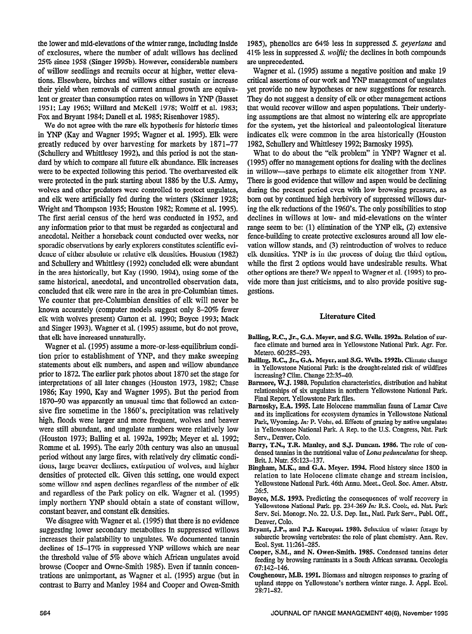the lower and mid-elevations of the winter range, including inside of exclosures, where the number of adult willows has declined 25% since 1958 (Singer 1995b). However, considerable numbers of willow seedlings and recruits occur at higher, wetter elevations. Elsewhere, birches and willows either sustain or increase their yield when removals of current annual growth are equivalent or greater than consumption rates on willows in YNF (Basset 1951; Lay 1965; Willard and McKell 1978; Wolff et al. 1983; Fox and Bryant 1984; Danell et al. 1985; Risenhover 1985).

We do not agree with the rare elk hypothesis for historic times in YNP (Kay and Wagner 1995; Wagner et al. 1995). Elk were greatly reduced by over harvesting for markets by 1871-77 (Schullery and Whittlesey 1992), and this period is not the standard by which to compare all future elk abundance. Elk increases were to be expected following this period. The overharvested elk were protected in the park starting about 1886 by the U.S. Army, wolves and other predators were controlled to protect ungulates, and elk were artificially fed during the winters (Skinner 1928; Wright and Thompson 1935; Houston 1982; Romme et al. 1995). The first aerial census of the herd was conducted in 1952, and any information prior to that must be regarded as conjectural and anecdotal. Neither a horseback count conducted over weeks, nor sporadic observations by early explorers constitutes scientific evidence of either absolute or relative elk densities. Houston (1982) and Schullery and Whittlesy (1992) concluded elk were abundant in the area historically, but Kay (1990, 1994), using some of the same historical, anecdotal, and uncontrolled observation data, concluded that elk were over to the area in our Columbian times. concluded that elk were rare in the area in pre-Columbian times.<br>We counter that pre-Columbian densities of elk will never be  $k_{\text{tot}}$  counter and pre-commonly densities of the win flower for element) Garton works suggest only 0-20% femet elk with wolves present) Garton et al. 1990; Boyce 1993; Mack and Singer 1993). Wagner et al. (1995) assume, but do not prove, that elk have increased unnaturally. at cin have meleascu unitaturally.<br>\*\*\*

 $t$  wagner et al.  $(1555)$  assume a more-or-ress-equinorum condition prior to establishment of YNP, and they make sweeping statements about elk numbers, and aspen and willow abundance prior to 1872. The earlier park photos about 1870 set the stage for interpretations of all later changes (Houston 1973, 1982; Chase 1986; Kay 1990, Kay and Wagner 1995). But the period from 1870–90 was apparently an unusual time that followed an extensive fire sometime in the 1860's, precipitation was relatively high, floods were larger and more frequent, wolves and beaver were still abundant, and ungulate numbers were relatively low (Houston 1973; Balling et al. 1992a, 1992b; Meyer et al. 1992; Romme et al. 1995). The early 20th century was also an unusual period without any large fires, with relatively dry climatic conditions, large beaver declines, extirpation of wolves, and higher densities of protected elk. Given this setting, one would expect some willow and aspen declines regardless of the number of elk and regardless of the Park policy on elk. Wagner et al. (1995) imply northern YNP should obtain a state of constant willow, constant beaver, and constant elk densities.

We disagree with Wagner et al. (1995) that there is no evidence suggesting lower secondary metabolites in suppressed willows increases their palatability to ungulates. We documented tannin declines of 15-17% in suppressed YNP willows which are near the threshold value of 5% above which African ungulates avoid browse (Cooper and Owne-Smith 1985). Even if tannin concen- $67:142-146$ . trations are unimportant, as Wagner et al. (1995) argue (but in Coughenour, M.B. 1991. Biomass and nitrogen responses to grazing of contrast to Barry and Manley 1984 and Cooper and Owen-Smith

1985), phenolics are  $64\%$  less in suppressed S. geyeriana and  $41\%$  less in suppressed *S. wolfii*; the declines in both compounds are unprecedented.

Wagner et al. (1995) assume a negative position and make 19 critical assertions of our work and YNP management of ungulates yet provide no new hypotheses or new suggestions for research. They do not suggest a density of elk or other management actions that would recover willow and aspen populations. Their underlying assumptions are that almost no wintering elk are appropriate for the system, yet the historical and paleontological literature indicates elk were common in the area historically (Houston 1982, Schullery and Whittlesey 1992; Bamosky 1995).

What to do about the "elk problem" in YNP? Wagner et al. (1995) offer no management options for dealing with the declines in willow-save perhaps to elimate elk altogether from YNP. There is good evidence that willow and aspen would be declining during the present period even with low browsing pressure, as born out by continued high herbivory of suppressed willows during the elk reductions of the 1960's. The only possibilities to stop declines in willows at low- and mid-elevations on the winter range seem to be: (1) elimination of the YNP elk, (2) extensive fence-building to create protective exclosures around all low elevation willow stands, and (3) reintroduction of wolves to reduce elk densities. YNP is in the process of doing the third option, while the first 2 options would have undesirable results. What other options are there? We appeal to Wagner et al. (1995) to provide more than just criticisms, and to also provide positive suggestions.

## Literature Cited

- Balling, RC., Jr., G.A. Meyer, and S.G. Wells. 1992a. Relation of suralling,  $R.C., Jr., G.A. Meyer, and S.G. Wells. 1992a. Relation of sur$ face climate and burned area in Yellowstone National Park. Agr. For. Metero. 60:285-293.
- Balling, R.C., Jr., G.A. Meyer, and S.G. Wells. 1992b. Climate change in Yellowstone National Park: is the drought-related risk of wildfires increasing? Clim. Change 22:35-40.
- Barmore, W.J. 1980. Population characteristics, distribution and habitat relationships of six ungulates in northern Yellowstone National Park. Final Report. Yellowstone Park files.
- Barnosky, E.A. 1995. Late Holocene mammalian fauna of Lamar Cave and its implications for ecosystem dynamics in Yellowstone National Park, Wyoming. In: P. Vohs, ed. Effects of grazing by native ungulates in Yellowstone National Park. A Rep. to the U.S. Congress, Nat. Park Serv., Denver, Colo.
- Barry, T.N., T.R. Manley, and S.J. Duncan. 1986. The role of condensed tannins in the nutritional value of Lotus pedunculatus for sheep. Brit. J. Nutr. 55:123-137.
- Bingham, M.K., and G.A. Meyer. 1994. Flood history since 1800 in relation to late Holocene climate change and stream incision, Yellowstone National Park. 46th Annu. Meet., Geol. Soc. Amer. Abstr.  $26:5.$
- Boyce, M.S. 1993. Predicting the consequences of wolf recovery in Yellowstone National Park. pp. 234-269 In: R.S. Cook, ed. Nat. Park Serv. Sci. Monogr. No. 22. U.S. Dep. Int., Natl. Park Serv., Publ. Off., Denver, Colo.
- Bryant, J.P., and P.J. Kuropat. 1980. Selection of winter forage by subarctic browsing vertebrates: the role of plant chemistry. Ann. Rev. Ecol. Syst. 11:261-285.
- Cooper, S.M., and N. Owen-Smith. 1985. Condensed tannins deter feeding by browsing ruminants in a South African savanna. Oecologia
- upland steppe on Yellowstone's northern winter range. J. Appl. Ecol.  $28:71 - 82.$